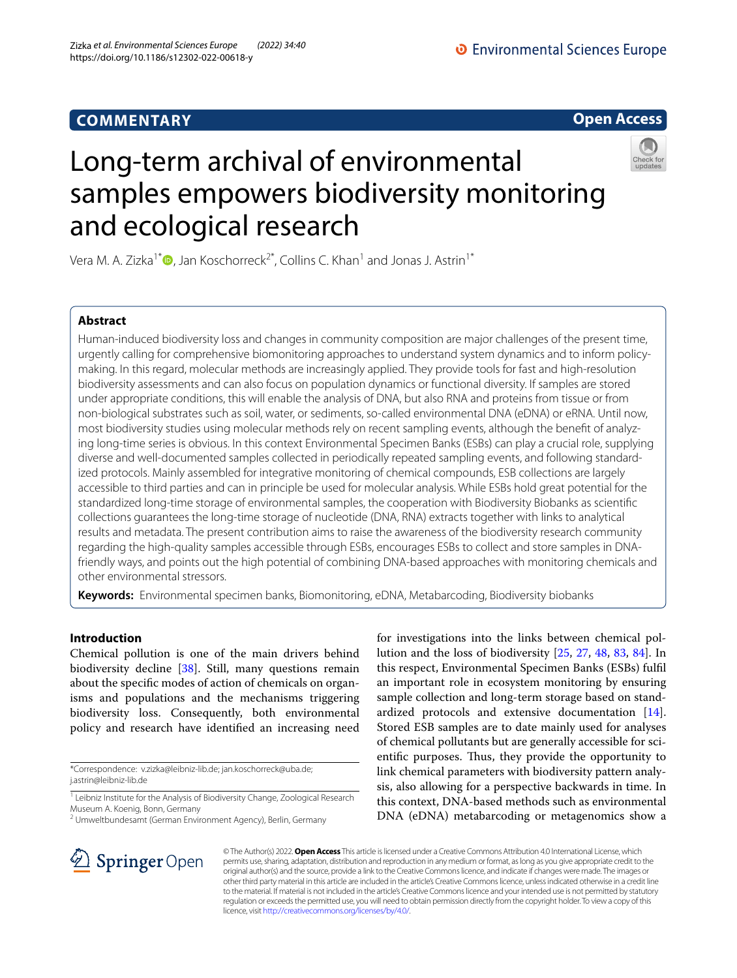## **COMMENTARY**



# Long-term archival of environmental samples empowers biodiversity monitoring and ecological research



Vera M. A. Zizka<sup>1[\\*](http://orcid.org/0000-0001-8486-8883)</sup> $\bullet$ , Jan Koschorreck<sup>2\*</sup>, Collins C. Khan<sup>1</sup> and Jonas J. Astrin<sup>1\*</sup>

## **Abstract**

Human-induced biodiversity loss and changes in community composition are major challenges of the present time, urgently calling for comprehensive biomonitoring approaches to understand system dynamics and to inform policymaking. In this regard, molecular methods are increasingly applied. They provide tools for fast and high-resolution biodiversity assessments and can also focus on population dynamics or functional diversity. If samples are stored under appropriate conditions, this will enable the analysis of DNA, but also RNA and proteins from tissue or from non-biological substrates such as soil, water, or sediments, so-called environmental DNA (eDNA) or eRNA. Until now, most biodiversity studies using molecular methods rely on recent sampling events, although the beneft of analyzing long-time series is obvious. In this context Environmental Specimen Banks (ESBs) can play a crucial role, supplying diverse and well-documented samples collected in periodically repeated sampling events, and following standardized protocols. Mainly assembled for integrative monitoring of chemical compounds, ESB collections are largely accessible to third parties and can in principle be used for molecular analysis. While ESBs hold great potential for the standardized long-time storage of environmental samples, the cooperation with Biodiversity Biobanks as scientifc collections guarantees the long-time storage of nucleotide (DNA, RNA) extracts together with links to analytical results and metadata. The present contribution aims to raise the awareness of the biodiversity research community regarding the high-quality samples accessible through ESBs, encourages ESBs to collect and store samples in DNAfriendly ways, and points out the high potential of combining DNA-based approaches with monitoring chemicals and other environmental stressors.

**Keywords:** Environmental specimen banks, Biomonitoring, eDNA, Metabarcoding, Biodiversity biobanks

## **Introduction**

Chemical pollution is one of the main drivers behind biodiversity decline [[38\]](#page-6-0). Still, many questions remain about the specifc modes of action of chemicals on organisms and populations and the mechanisms triggering biodiversity loss. Consequently, both environmental policy and research have identifed an increasing need

\*Correspondence: v.zizka@leibniz-lib.de; jan.koschorreck@uba.de; j.astrin@leibniz-lib.de

for investigations into the links between chemical pollution and the loss of biodiversity [[25](#page-5-0), [27,](#page-5-1) [48,](#page-6-1) [83](#page-7-0), [84](#page-7-1)]. In this respect, Environmental Specimen Banks (ESBs) fulfl an important role in ecosystem monitoring by ensuring sample collection and long-term storage based on standardized protocols and extensive documentation [\[14](#page-5-2)]. Stored ESB samples are to date mainly used for analyses of chemical pollutants but are generally accessible for scientific purposes. Thus, they provide the opportunity to link chemical parameters with biodiversity pattern analysis, also allowing for a perspective backwards in time. In this context, DNA-based methods such as environmental DNA (eDNA) metabarcoding or metagenomics show a



© The Author(s) 2022. **Open Access** This article is licensed under a Creative Commons Attribution 4.0 International License, which permits use, sharing, adaptation, distribution and reproduction in any medium or format, as long as you give appropriate credit to the original author(s) and the source, provide a link to the Creative Commons licence, and indicate if changes were made. The images or other third party material in this article are included in the article's Creative Commons licence, unless indicated otherwise in a credit line to the material. If material is not included in the article's Creative Commons licence and your intended use is not permitted by statutory regulation or exceeds the permitted use, you will need to obtain permission directly from the copyright holder. To view a copy of this licence, visit [http://creativecommons.org/licenses/by/4.0/.](http://creativecommons.org/licenses/by/4.0/)

<sup>&</sup>lt;sup>1</sup> Leibniz Institute for the Analysis of Biodiversity Change, Zoological Research Museum A. Koenig, Bonn, Germany

<sup>&</sup>lt;sup>2</sup> Umweltbundesamt (German Environment Agency), Berlin, Germany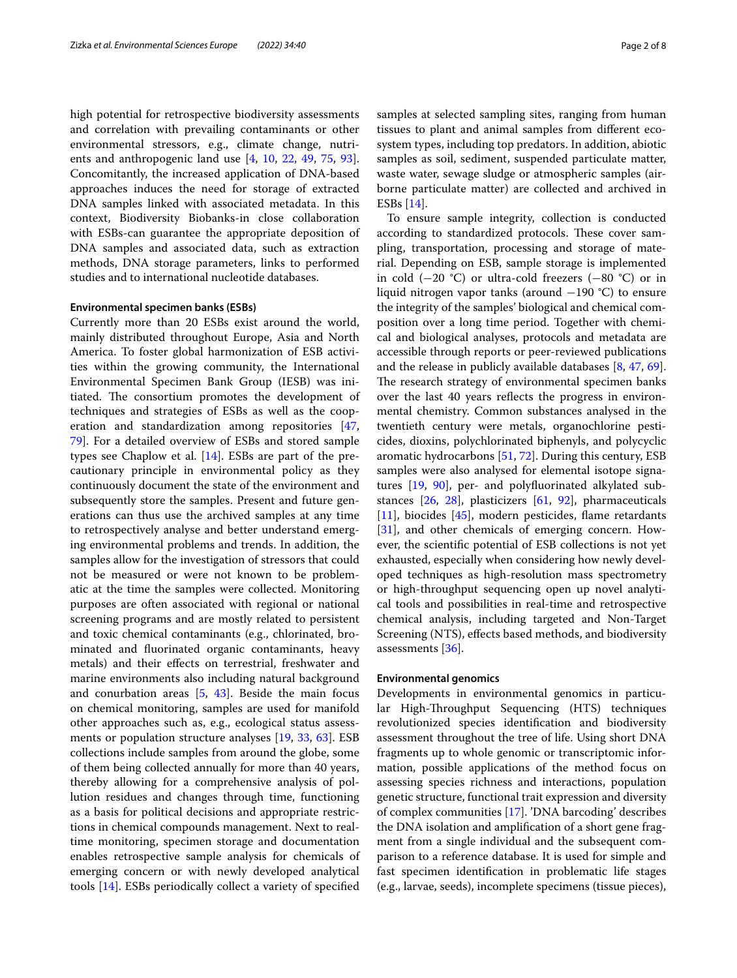high potential for retrospective biodiversity assessments and correlation with prevailing contaminants or other environmental stressors, e.g., climate change, nutrients and anthropogenic land use [\[4](#page-5-3), [10](#page-5-4), [22,](#page-5-5) [49,](#page-6-2) [75](#page-7-2), [93](#page-7-3)]. Concomitantly, the increased application of DNA-based approaches induces the need for storage of extracted DNA samples linked with associated metadata. In this context, Biodiversity Biobanks-in close collaboration with ESBs-can guarantee the appropriate deposition of DNA samples and associated data, such as extraction methods, DNA storage parameters, links to performed studies and to international nucleotide databases.

## **Environmental specimen banks (ESBs)**

Currently more than 20 ESBs exist around the world, mainly distributed throughout Europe, Asia and North America. To foster global harmonization of ESB activities within the growing community, the International Environmental Specimen Bank Group (IESB) was initiated. The consortium promotes the development of techniques and strategies of ESBs as well as the cooperation and standardization among repositories [\[47](#page-6-3), [79\]](#page-7-4). For a detailed overview of ESBs and stored sample types see Chaplow et al. [[14\]](#page-5-2). ESBs are part of the precautionary principle in environmental policy as they continuously document the state of the environment and subsequently store the samples. Present and future generations can thus use the archived samples at any time to retrospectively analyse and better understand emerging environmental problems and trends. In addition, the samples allow for the investigation of stressors that could not be measured or were not known to be problematic at the time the samples were collected. Monitoring purposes are often associated with regional or national screening programs and are mostly related to persistent and toxic chemical contaminants (e.g., chlorinated, brominated and fuorinated organic contaminants, heavy metals) and their efects on terrestrial, freshwater and marine environments also including natural background and conurbation areas  $[5, 43]$  $[5, 43]$  $[5, 43]$  $[5, 43]$ . Beside the main focus on chemical monitoring, samples are used for manifold other approaches such as, e.g., ecological status assessments or population structure analyses [\[19](#page-5-7), [33](#page-6-5), [63](#page-6-6)]. ESB collections include samples from around the globe, some of them being collected annually for more than 40 years, thereby allowing for a comprehensive analysis of pollution residues and changes through time, functioning as a basis for political decisions and appropriate restrictions in chemical compounds management. Next to realtime monitoring, specimen storage and documentation enables retrospective sample analysis for chemicals of emerging concern or with newly developed analytical tools [[14\]](#page-5-2). ESBs periodically collect a variety of specifed samples at selected sampling sites, ranging from human tissues to plant and animal samples from diferent ecosystem types, including top predators. In addition, abiotic samples as soil, sediment, suspended particulate matter, waste water, sewage sludge or atmospheric samples (airborne particulate matter) are collected and archived in ESBs [[14](#page-5-2)].

To ensure sample integrity, collection is conducted according to standardized protocols. These cover sampling, transportation, processing and storage of material. Depending on ESB, sample storage is implemented in cold (−20 °C) or ultra-cold freezers (−80 °C) or in liquid nitrogen vapor tanks (around −190 °C) to ensure the integrity of the samples' biological and chemical composition over a long time period. Together with chemical and biological analyses, protocols and metadata are accessible through reports or peer-reviewed publications and the release in publicly available databases [[8](#page-5-8), [47](#page-6-3), [69](#page-7-5)]. The research strategy of environmental specimen banks over the last 40 years refects the progress in environmental chemistry. Common substances analysed in the twentieth century were metals, organochlorine pesticides, dioxins, polychlorinated biphenyls, and polycyclic aromatic hydrocarbons [\[51](#page-6-7), [72\]](#page-7-6). During this century, ESB samples were also analysed for elemental isotope signatures [\[19](#page-5-7), [90\]](#page-7-7), per- and polyfuorinated alkylated substances [[26,](#page-5-9) [28\]](#page-5-10), plasticizers [\[61,](#page-6-8) [92](#page-7-8)], pharmaceuticals [[11\]](#page-5-11), biocides [[45\]](#page-6-9), modern pesticides, flame retardants [[31\]](#page-6-10), and other chemicals of emerging concern. However, the scientifc potential of ESB collections is not yet exhausted, especially when considering how newly developed techniques as high-resolution mass spectrometry or high-throughput sequencing open up novel analytical tools and possibilities in real-time and retrospective chemical analysis, including targeted and Non-Target Screening (NTS), effects based methods, and biodiversity assessments [[36\]](#page-6-11).

#### **Environmental genomics**

Developments in environmental genomics in particular High-Throughput Sequencing (HTS) techniques revolutionized species identifcation and biodiversity assessment throughout the tree of life. Using short DNA fragments up to whole genomic or transcriptomic information, possible applications of the method focus on assessing species richness and interactions, population genetic structure, functional trait expression and diversity of complex communities [\[17\]](#page-5-12). 'DNA barcoding' describes the DNA isolation and amplifcation of a short gene fragment from a single individual and the subsequent comparison to a reference database. It is used for simple and fast specimen identifcation in problematic life stages (e.g., larvae, seeds), incomplete specimens (tissue pieces),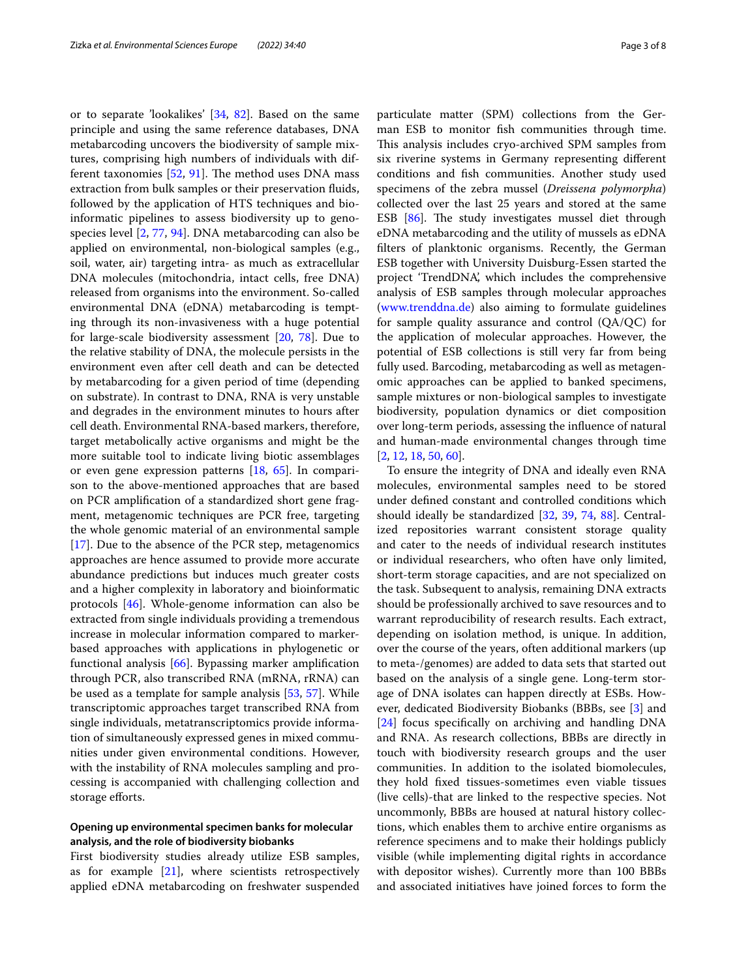or to separate 'lookalikes' [[34,](#page-6-12) [82](#page-7-9)]. Based on the same principle and using the same reference databases, DNA metabarcoding uncovers the biodiversity of sample mixtures, comprising high numbers of individuals with different taxonomies  $[52, 91]$  $[52, 91]$  $[52, 91]$  $[52, 91]$ . The method uses DNA mass extraction from bulk samples or their preservation fuids, followed by the application of HTS techniques and bioinformatic pipelines to assess biodiversity up to genospecies level [\[2](#page-5-13), [77](#page-7-11), [94\]](#page-7-12). DNA metabarcoding can also be applied on environmental, non-biological samples (e.g., soil, water, air) targeting intra- as much as extracellular DNA molecules (mitochondria, intact cells, free DNA) released from organisms into the environment. So-called environmental DNA (eDNA) metabarcoding is tempting through its non-invasiveness with a huge potential for large-scale biodiversity assessment [\[20](#page-5-14), [78](#page-7-13)]. Due to the relative stability of DNA, the molecule persists in the environment even after cell death and can be detected by metabarcoding for a given period of time (depending on substrate). In contrast to DNA, RNA is very unstable and degrades in the environment minutes to hours after cell death. Environmental RNA-based markers, therefore, target metabolically active organisms and might be the more suitable tool to indicate living biotic assemblages or even gene expression patterns [[18](#page-5-15), [65\]](#page-7-14). In comparison to the above-mentioned approaches that are based on PCR amplifcation of a standardized short gene fragment, metagenomic techniques are PCR free, targeting the whole genomic material of an environmental sample [[17\]](#page-5-12). Due to the absence of the PCR step, metagenomics approaches are hence assumed to provide more accurate abundance predictions but induces much greater costs and a higher complexity in laboratory and bioinformatic protocols [\[46](#page-6-14)]. Whole-genome information can also be extracted from single individuals providing a tremendous increase in molecular information compared to markerbased approaches with applications in phylogenetic or functional analysis [[66](#page-7-15)]. Bypassing marker amplifcation through PCR, also transcribed RNA (mRNA, rRNA) can be used as a template for sample analysis [\[53](#page-6-15), [57](#page-6-16)]. While transcriptomic approaches target transcribed RNA from single individuals, metatranscriptomics provide information of simultaneously expressed genes in mixed communities under given environmental conditions. However, with the instability of RNA molecules sampling and processing is accompanied with challenging collection and storage efforts.

## **Opening up environmental specimen banks for molecular analysis, and the role of biodiversity biobanks**

First biodiversity studies already utilize ESB samples, as for example [\[21\]](#page-5-16), where scientists retrospectively applied eDNA metabarcoding on freshwater suspended particulate matter (SPM) collections from the German ESB to monitor fsh communities through time. This analysis includes cryo-archived SPM samples from six riverine systems in Germany representing diferent conditions and fsh communities. Another study used specimens of the zebra mussel (*Dreissena polymorpha*) collected over the last 25 years and stored at the same ESB  $[86]$  $[86]$ . The study investigates mussel diet through eDNA metabarcoding and the utility of mussels as eDNA flters of planktonic organisms. Recently, the German ESB together with University Duisburg-Essen started the project 'TrendDNA', which includes the comprehensive analysis of ESB samples through molecular approaches ([www.trenddna.de](http://www.trenddna.de)) also aiming to formulate guidelines for sample quality assurance and control (QA/QC) for the application of molecular approaches. However, the potential of ESB collections is still very far from being fully used. Barcoding, metabarcoding as well as metagen-

omic approaches can be applied to banked specimens, sample mixtures or non-biological samples to investigate biodiversity, population dynamics or diet composition over long-term periods, assessing the infuence of natural and human-made environmental changes through time [[2,](#page-5-13) [12](#page-5-17), [18,](#page-5-15) [50,](#page-6-17) [60](#page-6-18)].

To ensure the integrity of DNA and ideally even RNA molecules, environmental samples need to be stored under defned constant and controlled conditions which should ideally be standardized [[32](#page-6-19), [39](#page-6-20), [74,](#page-7-17) [88](#page-7-18)]. Centralized repositories warrant consistent storage quality and cater to the needs of individual research institutes or individual researchers, who often have only limited, short-term storage capacities, and are not specialized on the task. Subsequent to analysis, remaining DNA extracts should be professionally archived to save resources and to warrant reproducibility of research results. Each extract, depending on isolation method, is unique. In addition, over the course of the years, often additional markers (up to meta-/genomes) are added to data sets that started out based on the analysis of a single gene. Long-term storage of DNA isolates can happen directly at ESBs. However, dedicated Biodiversity Biobanks (BBBs, see [\[3](#page-5-18)] and [[24\]](#page-5-19) focus specifcally on archiving and handling DNA and RNA. As research collections, BBBs are directly in touch with biodiversity research groups and the user communities. In addition to the isolated biomolecules, they hold fxed tissues-sometimes even viable tissues (live cells)-that are linked to the respective species. Not uncommonly, BBBs are housed at natural history collections, which enables them to archive entire organisms as reference specimens and to make their holdings publicly visible (while implementing digital rights in accordance with depositor wishes). Currently more than 100 BBBs and associated initiatives have joined forces to form the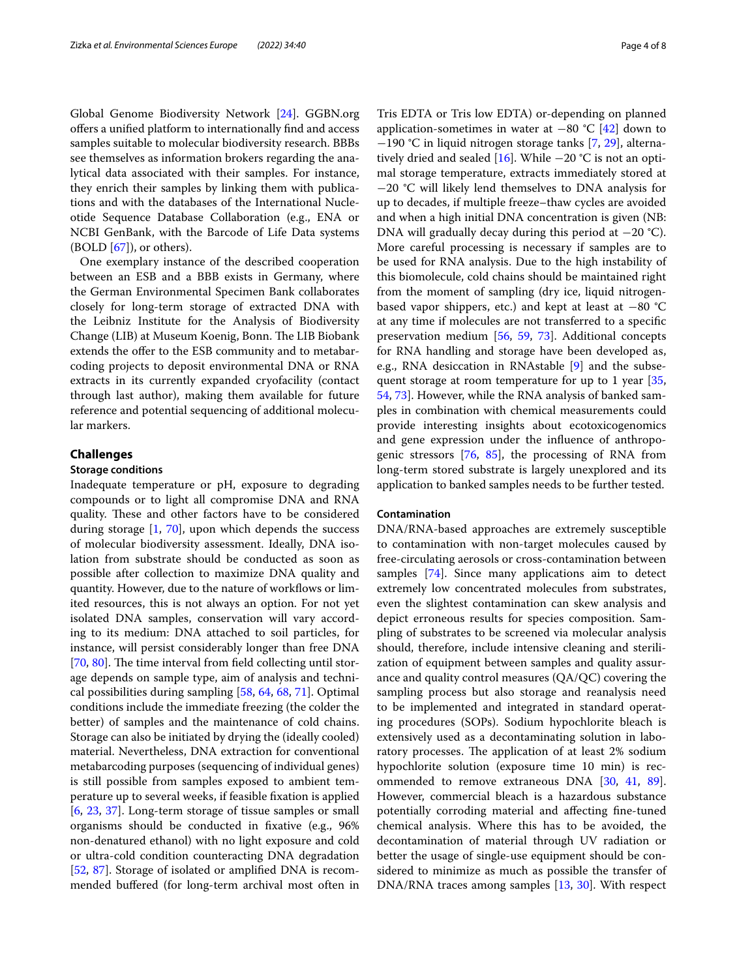Global Genome Biodiversity Network [[24](#page-5-19)]. GGBN.org offers a unified platform to internationally find and access samples suitable to molecular biodiversity research. BBBs see themselves as information brokers regarding the analytical data associated with their samples. For instance, they enrich their samples by linking them with publications and with the databases of the International Nucleotide Sequence Database Collaboration (e.g., ENA or NCBI GenBank, with the Barcode of Life Data systems  $(BOLD [67])$  $(BOLD [67])$  $(BOLD [67])$ , or others).

One exemplary instance of the described cooperation between an ESB and a BBB exists in Germany, where the German Environmental Specimen Bank collaborates closely for long-term storage of extracted DNA with the Leibniz Institute for the Analysis of Biodiversity Change (LIB) at Museum Koenig, Bonn. The LIB Biobank extends the offer to the ESB community and to metabarcoding projects to deposit environmental DNA or RNA extracts in its currently expanded cryofacility (contact through last author), making them available for future reference and potential sequencing of additional molecular markers.

### **Challenges**

## **Storage conditions**

Inadequate temperature or pH, exposure to degrading compounds or to light all compromise DNA and RNA quality. These and other factors have to be considered during storage  $[1, 70]$  $[1, 70]$  $[1, 70]$  $[1, 70]$  $[1, 70]$ , upon which depends the success of molecular biodiversity assessment. Ideally, DNA isolation from substrate should be conducted as soon as possible after collection to maximize DNA quality and quantity. However, due to the nature of workflows or limited resources, this is not always an option. For not yet isolated DNA samples, conservation will vary according to its medium: DNA attached to soil particles, for instance, will persist considerably longer than free DNA [[70,](#page-7-20) [80](#page-7-21)]. The time interval from field collecting until storage depends on sample type, aim of analysis and technical possibilities during sampling [\[58](#page-6-21), [64,](#page-7-22) [68,](#page-7-23) [71](#page-7-24)]. Optimal conditions include the immediate freezing (the colder the better) of samples and the maintenance of cold chains. Storage can also be initiated by drying the (ideally cooled) material. Nevertheless, DNA extraction for conventional metabarcoding purposes (sequencing of individual genes) is still possible from samples exposed to ambient temperature up to several weeks, if feasible fxation is applied [[6,](#page-5-21) [23,](#page-5-22) [37](#page-6-22)]. Long-term storage of tissue samples or small organisms should be conducted in fxative (e.g., 96% non-denatured ethanol) with no light exposure and cold or ultra-cold condition counteracting DNA degradation [[52,](#page-6-13) [87\]](#page-7-25). Storage of isolated or amplifed DNA is recommended bufered (for long-term archival most often in Tris EDTA or Tris low EDTA) or-depending on planned application-sometimes in water at −80 °C [\[42](#page-6-23)] down to −190 °C in liquid nitrogen storage tanks [\[7](#page-5-23), [29](#page-5-24)], alterna-tively dried and sealed [[16](#page-5-25)]. While  $-20$  °C is not an optimal storage temperature, extracts immediately stored at −20 °C will likely lend themselves to DNA analysis for up to decades, if multiple freeze–thaw cycles are avoided and when a high initial DNA concentration is given (NB: DNA will gradually decay during this period at −20 °C). More careful processing is necessary if samples are to be used for RNA analysis. Due to the high instability of this biomolecule, cold chains should be maintained right from the moment of sampling (dry ice, liquid nitrogenbased vapor shippers, etc.) and kept at least at −80 °C at any time if molecules are not transferred to a specifc preservation medium [\[56](#page-6-24), [59](#page-6-25), [73\]](#page-7-26). Additional concepts for RNA handling and storage have been developed as, e.g., RNA desiccation in RNAstable [[9\]](#page-5-26) and the subse-quent storage at room temperature for up to 1 year [[35](#page-6-26), [54,](#page-6-27) [73](#page-7-26)]. However, while the RNA analysis of banked samples in combination with chemical measurements could provide interesting insights about ecotoxicogenomics and gene expression under the infuence of anthropogenic stressors  $[76, 85]$  $[76, 85]$  $[76, 85]$  $[76, 85]$ , the processing of RNA from long-term stored substrate is largely unexplored and its application to banked samples needs to be further tested.

#### **Contamination**

DNA/RNA-based approaches are extremely susceptible to contamination with non-target molecules caused by free-circulating aerosols or cross-contamination between samples [\[74](#page-7-17)]. Since many applications aim to detect extremely low concentrated molecules from substrates, even the slightest contamination can skew analysis and depict erroneous results for species composition. Sampling of substrates to be screened via molecular analysis should, therefore, include intensive cleaning and sterilization of equipment between samples and quality assurance and quality control measures (QA/QC) covering the sampling process but also storage and reanalysis need to be implemented and integrated in standard operating procedures (SOPs). Sodium hypochlorite bleach is extensively used as a decontaminating solution in laboratory processes. The application of at least 2% sodium hypochlorite solution (exposure time 10 min) is recommended to remove extraneous DNA [[30,](#page-6-28) [41](#page-6-29), [89](#page-7-29)]. However, commercial bleach is a hazardous substance potentially corroding material and afecting fne-tuned chemical analysis. Where this has to be avoided, the decontamination of material through UV radiation or better the usage of single-use equipment should be considered to minimize as much as possible the transfer of DNA/RNA traces among samples [\[13](#page-5-27), [30](#page-6-28)]. With respect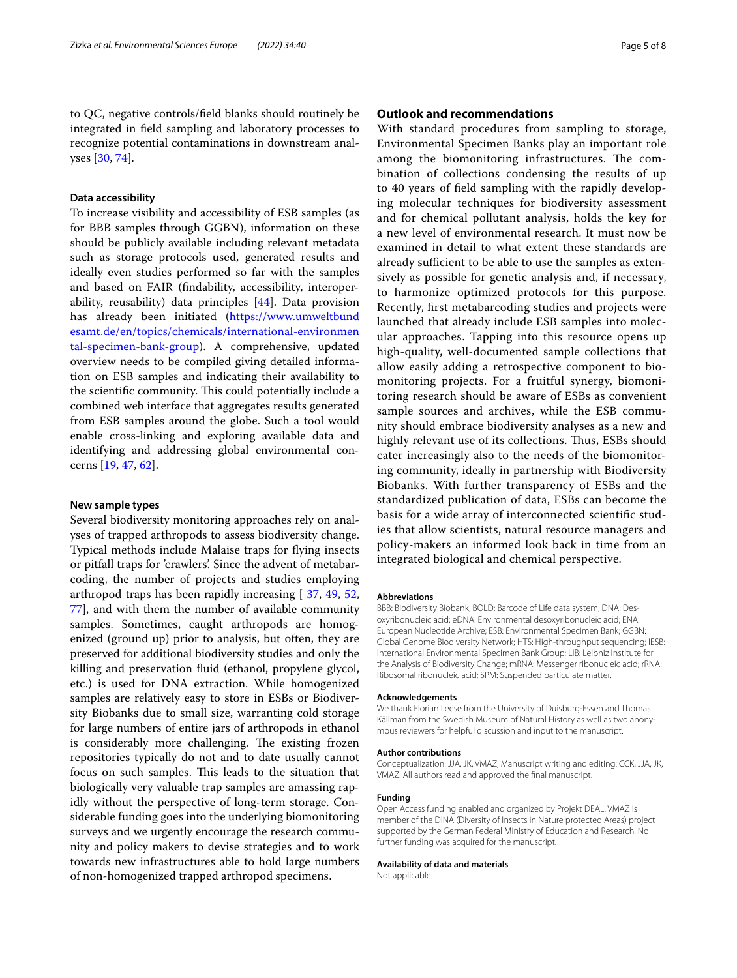## **Data accessibility**

To increase visibility and accessibility of ESB samples (as for BBB samples through GGBN), information on these should be publicly available including relevant metadata such as storage protocols used, generated results and ideally even studies performed so far with the samples and based on FAIR (fndability, accessibility, interoperability, reusability) data principles [\[44](#page-6-30)]. Data provision has already been initiated ([https://www.umweltbund](https://www.umweltbundesamt.de/en/topics/chemicals/international-environmental-specimen-bank-group) [esamt.de/en/topics/chemicals/international-environmen](https://www.umweltbundesamt.de/en/topics/chemicals/international-environmental-specimen-bank-group) [tal-specimen-bank-group\)](https://www.umweltbundesamt.de/en/topics/chemicals/international-environmental-specimen-bank-group). A comprehensive, updated overview needs to be compiled giving detailed information on ESB samples and indicating their availability to the scientific community. This could potentially include a combined web interface that aggregates results generated from ESB samples around the globe. Such a tool would enable cross-linking and exploring available data and identifying and addressing global environmental concerns [\[19,](#page-5-7) [47](#page-6-3), [62\]](#page-6-31).

## **New sample types**

Several biodiversity monitoring approaches rely on analyses of trapped arthropods to assess biodiversity change. Typical methods include Malaise traps for fying insects or pitfall traps for 'crawlers'. Since the advent of metabarcoding, the number of projects and studies employing arthropod traps has been rapidly increasing [ [37,](#page-6-22) [49](#page-6-2), [52](#page-6-13), [77\]](#page-7-11), and with them the number of available community samples. Sometimes, caught arthropods are homogenized (ground up) prior to analysis, but often, they are preserved for additional biodiversity studies and only the killing and preservation fuid (ethanol, propylene glycol, etc.) is used for DNA extraction. While homogenized samples are relatively easy to store in ESBs or Biodiversity Biobanks due to small size, warranting cold storage for large numbers of entire jars of arthropods in ethanol is considerably more challenging. The existing frozen repositories typically do not and to date usually cannot focus on such samples. This leads to the situation that biologically very valuable trap samples are amassing rapidly without the perspective of long-term storage. Considerable funding goes into the underlying biomonitoring surveys and we urgently encourage the research community and policy makers to devise strategies and to work towards new infrastructures able to hold large numbers of non-homogenized trapped arthropod specimens.

## **Outlook and recommendations**

With standard procedures from sampling to storage, Environmental Specimen Banks play an important role among the biomonitoring infrastructures. The combination of collections condensing the results of up to 40 years of feld sampling with the rapidly developing molecular techniques for biodiversity assessment and for chemical pollutant analysis, holds the key for a new level of environmental research. It must now be examined in detail to what extent these standards are already sufficient to be able to use the samples as extensively as possible for genetic analysis and, if necessary, to harmonize optimized protocols for this purpose. Recently, frst metabarcoding studies and projects were launched that already include ESB samples into molecular approaches. Tapping into this resource opens up high-quality, well-documented sample collections that allow easily adding a retrospective component to biomonitoring projects. For a fruitful synergy, biomonitoring research should be aware of ESBs as convenient sample sources and archives, while the ESB community should embrace biodiversity analyses as a new and highly relevant use of its collections. Thus, ESBs should cater increasingly also to the needs of the biomonitoring community, ideally in partnership with Biodiversity Biobanks. With further transparency of ESBs and the standardized publication of data, ESBs can become the basis for a wide array of interconnected scientifc studies that allow scientists, natural resource managers and policy-makers an informed look back in time from an integrated biological and chemical perspective.

#### **Abbreviations**

BBB: Biodiversity Biobank; BOLD: Barcode of Life data system; DNA: Desoxyribonucleic acid; eDNA: Environmental desoxyribonucleic acid; ENA: European Nucleotide Archive; ESB: Environmental Specimen Bank; GGBN: Global Genome Biodiversity Network; HTS: High-throughput sequencing; IESB: International Environmental Specimen Bank Group; LIB: Leibniz Institute for the Analysis of Biodiversity Change; mRNA: Messenger ribonucleic acid; rRNA: Ribosomal ribonucleic acid; SPM: Suspended particulate matter.

#### **Acknowledgements**

We thank Florian Leese from the University of Duisburg-Essen and Thomas Källman from the Swedish Museum of Natural History as well as two anonymous reviewers for helpful discussion and input to the manuscript.

#### **Author contributions**

Conceptualization: JJA, JK, VMAZ, Manuscript writing and editing: CCK, JJA, JK, VMAZ. All authors read and approved the fnal manuscript.

#### **Funding**

Open Access funding enabled and organized by Projekt DEAL. VMAZ is member of the DINA (Diversity of Insects in Nature protected Areas) project supported by the German Federal Ministry of Education and Research. No further funding was acquired for the manuscript.

#### **Availability of data and materials**

Not applicable.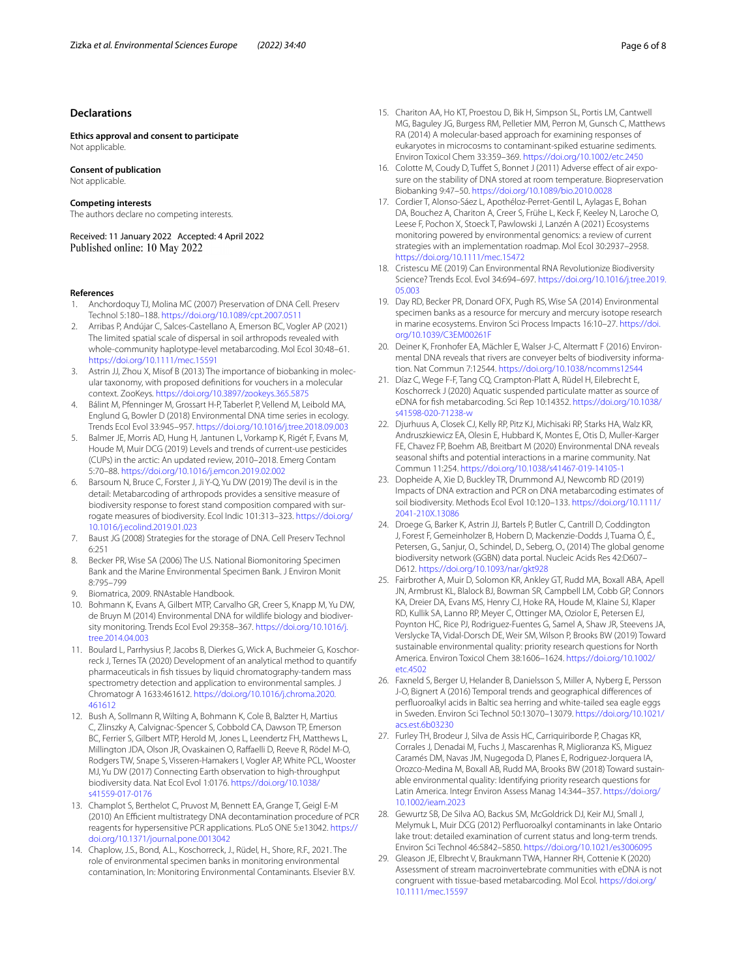### **Declarations**

**Ethics approval and consent to participate** Not applicable.

## **Consent of publication**

Not applicable.

#### **Competing interests**

The authors declare no competing interests.

Received: 11 January 2022 Accepted: 4 April 2022

#### **References**

- <span id="page-5-20"></span>Anchordoquy TJ, Molina MC (2007) Preservation of DNA Cell. Preserv Technol 5:180–188. <https://doi.org/10.1089/cpt.2007.0511>
- <span id="page-5-13"></span>2. Arribas P, Andújar C, Salces-Castellano A, Emerson BC, Vogler AP (2021) The limited spatial scale of dispersal in soil arthropods revealed with whole-community haplotype-level metabarcoding. Mol Ecol 30:48–61. <https://doi.org/10.1111/mec.15591>
- <span id="page-5-18"></span>3. Astrin JJ, Zhou X, Misof B (2013) The importance of biobanking in molecular taxonomy, with proposed defnitions for vouchers in a molecular context. ZooKeys. <https://doi.org/10.3897/zookeys.365.5875>
- <span id="page-5-3"></span>4. Bálint M, Pfenninger M, Grossart H-P, Taberlet P, Vellend M, Leibold MA, Englund G, Bowler D (2018) Environmental DNA time series in ecology. Trends Ecol Evol 33:945–957. <https://doi.org/10.1016/j.tree.2018.09.003>
- <span id="page-5-6"></span>5. Balmer JE, Morris AD, Hung H, Jantunen L, Vorkamp K, Rigét F, Evans M, Houde M, Muir DCG (2019) Levels and trends of current-use pesticides (CUPs) in the arctic: An updated review, 2010–2018. Emerg Contam 5:70–88. <https://doi.org/10.1016/j.emcon.2019.02.002>
- <span id="page-5-21"></span>6. Barsoum N, Bruce C, Forster J, Ji Y-Q, Yu DW (2019) The devil is in the detail: Metabarcoding of arthropods provides a sensitive measure of biodiversity response to forest stand composition compared with surrogate measures of biodiversity. Ecol Indic 101:313–323. [https://doi.org/](https://doi.org/10.1016/j.ecolind.2019.01.023) [10.1016/j.ecolind.2019.01.023](https://doi.org/10.1016/j.ecolind.2019.01.023)
- <span id="page-5-23"></span>7. Baust JG (2008) Strategies for the storage of DNA. Cell Preserv Technol 6:251
- <span id="page-5-8"></span>8. Becker PR, Wise SA (2006) The U.S. National Biomonitoring Specimen Bank and the Marine Environmental Specimen Bank. J Environ Monit 8:795–799
- <span id="page-5-26"></span>Biomatrica, 2009. RNAstable Handbook.
- <span id="page-5-4"></span>10. Bohmann K, Evans A, Gilbert MTP, Carvalho GR, Creer S, Knapp M, Yu DW, de Bruyn M (2014) Environmental DNA for wildlife biology and biodiversity monitoring. Trends Ecol Evol 29:358–367. [https://doi.org/10.1016/j.](https://doi.org/10.1016/j.tree.2014.04.003) [tree.2014.04.003](https://doi.org/10.1016/j.tree.2014.04.003)
- <span id="page-5-11"></span>11. Boulard L, Parrhysius P, Jacobs B, Dierkes G, Wick A, Buchmeier G, Koschorreck J, Ternes TA (2020) Development of an analytical method to quantify pharmaceuticals in fsh tissues by liquid chromatography-tandem mass spectrometry detection and application to environmental samples. J Chromatogr A 1633:461612. [https://doi.org/10.1016/j.chroma.2020.](https://doi.org/10.1016/j.chroma.2020.461612) [461612](https://doi.org/10.1016/j.chroma.2020.461612)
- <span id="page-5-17"></span>12. Bush A, Sollmann R, Wilting A, Bohmann K, Cole B, Balzter H, Martius C, Zlinszky A, Calvignac-Spencer S, Cobbold CA, Dawson TP, Emerson BC, Ferrier S, Gilbert MTP, Herold M, Jones L, Leendertz FH, Matthews L, Millington JDA, Olson JR, Ovaskainen O, Rafaelli D, Reeve R, Rödel M-O, Rodgers TW, Snape S, Visseren-Hamakers I, Vogler AP, White PCL, Wooster MJ, Yu DW (2017) Connecting Earth observation to high-throughput biodiversity data. Nat Ecol Evol 1:0176. [https://doi.org/10.1038/](https://doi.org/10.1038/s41559-017-0176) [s41559-017-0176](https://doi.org/10.1038/s41559-017-0176)
- <span id="page-5-27"></span>13. Champlot S, Berthelot C, Pruvost M, Bennett EA, Grange T, Geigl E-M (2010) An Efficient multistrategy DNA decontamination procedure of PCR reagents for hypersensitive PCR applications. PLoS ONE 5:e13042. [https://](https://doi.org/10.1371/journal.pone.0013042) [doi.org/10.1371/journal.pone.0013042](https://doi.org/10.1371/journal.pone.0013042)
- <span id="page-5-2"></span>14. Chaplow, J.S., Bond, A.L., Koschorreck, J., Rüdel, H., Shore, R.F., 2021. The role of environmental specimen banks in monitoring environmental contamination, In: Monitoring Environmental Contaminants. Elsevier B.V.
- 15. Chariton AA, Ho KT, Proestou D, Bik H, Simpson SL, Portis LM, Cantwell MG, Baguley JG, Burgess RM, Pelletier MM, Perron M, Gunsch C, Matthews RA (2014) A molecular-based approach for examining responses of eukaryotes in microcosms to contaminant-spiked estuarine sediments. Environ Toxicol Chem 33:359–369. <https://doi.org/10.1002/etc.2450>
- <span id="page-5-25"></span>16. Colotte M, Coudy D, Tuffet S, Bonnet J (2011) Adverse effect of air exposure on the stability of DNA stored at room temperature. Biopreservation Biobanking 9:47–50. <https://doi.org/10.1089/bio.2010.0028>
- <span id="page-5-12"></span>17. Cordier T, Alonso-Sáez L, Apothéloz-Perret-Gentil L, Aylagas E, Bohan DA, Bouchez A, Chariton A, Creer S, Frühe L, Keck F, Keeley N, Laroche O, Leese F, Pochon X, Stoeck T, Pawlowski J, Lanzén A (2021) Ecosystems monitoring powered by environmental genomics: a review of current strategies with an implementation roadmap. Mol Ecol 30:2937–2958. <https://doi.org/10.1111/mec.15472>
- <span id="page-5-15"></span>18. Cristescu ME (2019) Can Environmental RNA Revolutionize Biodiversity Science? Trends Ecol. Evol 34:694–697. [https://doi.org/10.1016/j.tree.2019.](https://doi.org/10.1016/j.tree.2019.05.003) [05.003](https://doi.org/10.1016/j.tree.2019.05.003)
- <span id="page-5-7"></span>19. Day RD, Becker PR, Donard OFX, Pugh RS, Wise SA (2014) Environmental specimen banks as a resource for mercury and mercury isotope research in marine ecosystems. Environ Sci Process Impacts 16:10–27. [https://doi.](https://doi.org/10.1039/C3EM00261F) [org/10.1039/C3EM00261F](https://doi.org/10.1039/C3EM00261F)
- <span id="page-5-14"></span>20. Deiner K, Fronhofer EA, Mächler E, Walser J-C, Altermatt F (2016) Environmental DNA reveals that rivers are conveyer belts of biodiversity information. Nat Commun 7:12544.<https://doi.org/10.1038/ncomms12544>
- <span id="page-5-16"></span>21. Díaz C, Wege F-F, Tang CQ, Crampton-Platt A, Rüdel H, Eilebrecht E, Koschorreck J (2020) Aquatic suspended particulate matter as source of eDNA for fsh metabarcoding. Sci Rep 10:14352. [https://doi.org/10.1038/](https://doi.org/10.1038/s41598-020-71238-w) [s41598-020-71238-w](https://doi.org/10.1038/s41598-020-71238-w)
- <span id="page-5-5"></span>22. Djurhuus A, Closek CJ, Kelly RP, Pitz KJ, Michisaki RP, Starks HA, Walz KR, Andruszkiewicz EA, Olesin E, Hubbard K, Montes E, Otis D, Muller-Karger FE, Chavez FP, Boehm AB, Breitbart M (2020) Environmental DNA reveals seasonal shifts and potential interactions in a marine community. Nat Commun 11:254.<https://doi.org/10.1038/s41467-019-14105-1>
- <span id="page-5-22"></span>23. Dopheide A, Xie D, Buckley TR, Drummond AJ, Newcomb RD (2019) Impacts of DNA extraction and PCR on DNA metabarcoding estimates of soil biodiversity. Methods Ecol Evol 10:120–133. [https://doi.org/10.1111/](https://doi.org/10.1111/2041-210X.13086) [2041-210X.13086](https://doi.org/10.1111/2041-210X.13086)
- <span id="page-5-19"></span>24. Droege G, Barker K, Astrin JJ, Bartels P, Butler C, Cantrill D, Coddington J, Forest F, Gemeinholzer B, Hobern D, Mackenzie-Dodds J, Tuama Ó, É., Petersen, G., Sanjur, O., Schindel, D., Seberg, O., (2014) The global genome biodiversity network (GGBN) data portal. Nucleic Acids Res 42:D607– D612. <https://doi.org/10.1093/nar/gkt928>
- <span id="page-5-0"></span>25. Fairbrother A, Muir D, Solomon KR, Ankley GT, Rudd MA, Boxall ABA, Apell JN, Armbrust KL, Blalock BJ, Bowman SR, Campbell LM, Cobb GP, Connors KA, Dreier DA, Evans MS, Henry CJ, Hoke RA, Houde M, Klaine SJ, Klaper RD, Kullik SA, Lanno RP, Meyer C, Ottinger MA, Oziolor E, Petersen EJ, Poynton HC, Rice PJ, Rodriguez-Fuentes G, Samel A, Shaw JR, Steevens JA, Verslycke TA, Vidal-Dorsch DE, Weir SM, Wilson P, Brooks BW (2019) Toward sustainable environmental quality: priority research questions for North America. Environ Toxicol Chem 38:1606–1624. [https://doi.org/10.1002/](https://doi.org/10.1002/etc.4502) [etc.4502](https://doi.org/10.1002/etc.4502)
- <span id="page-5-9"></span>26. Faxneld S, Berger U, Helander B, Danielsson S, Miller A, Nyberg E, Persson J-O, Bignert A (2016) Temporal trends and geographical diferences of perfuoroalkyl acids in Baltic sea herring and white-tailed sea eagle eggs in Sweden. Environ Sci Technol 50:13070–13079. [https://doi.org/10.1021/](https://doi.org/10.1021/acs.est.6b03230) [acs.est.6b03230](https://doi.org/10.1021/acs.est.6b03230)
- <span id="page-5-1"></span>27. Furley TH, Brodeur J, Silva de Assis HC, Carriquiriborde P, Chagas KR, Corrales J, Denadai M, Fuchs J, Mascarenhas R, Miglioranza KS, Miguez Caramés DM, Navas JM, Nugegoda D, Planes E, Rodriguez-Jorquera IA, Orozco-Medina M, Boxall AB, Rudd MA, Brooks BW (2018) Toward sustainable environmental quality: Identifying priority research questions for Latin America. Integr Environ Assess Manag 14:344–357. [https://doi.org/](https://doi.org/10.1002/ieam.2023) [10.1002/ieam.2023](https://doi.org/10.1002/ieam.2023)
- <span id="page-5-10"></span>28. Gewurtz SB, De Silva AO, Backus SM, McGoldrick DJ, Keir MJ, Small J, Melymuk L, Muir DCG (2012) Perfuoroalkyl contaminants in lake Ontario lake trout: detailed examination of current status and long-term trends. Environ Sci Technol 46:5842–5850. <https://doi.org/10.1021/es3006095>
- <span id="page-5-24"></span>29. Gleason JE, Elbrecht V, Braukmann TWA, Hanner RH, Cottenie K (2020) Assessment of stream macroinvertebrate communities with eDNA is not congruent with tissue-based metabarcoding. Mol Ecol. [https://doi.org/](https://doi.org/10.1111/mec.15597) [10.1111/mec.15597](https://doi.org/10.1111/mec.15597)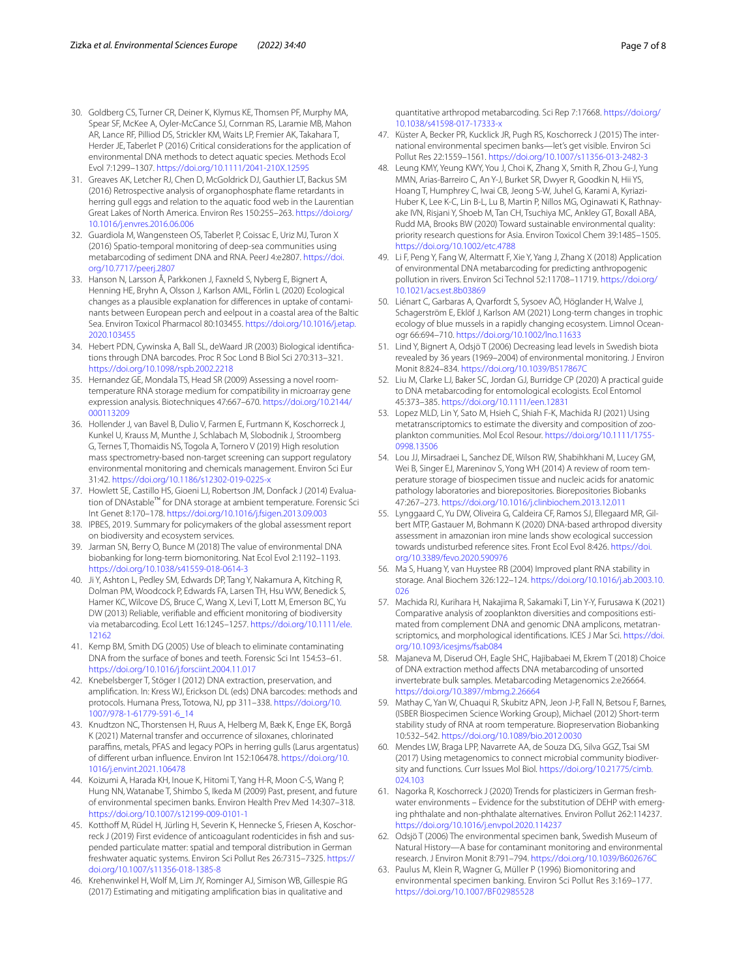- <span id="page-6-28"></span>30. Goldberg CS, Turner CR, Deiner K, Klymus KE, Thomsen PF, Murphy MA, Spear SF, McKee A, Oyler-McCance SJ, Cornman RS, Laramie MB, Mahon AR, Lance RF, Pilliod DS, Strickler KM, Waits LP, Fremier AK, Takahara T, Herder JE, Taberlet P (2016) Critical considerations for the application of environmental DNA methods to detect aquatic species. Methods Ecol Evol 7:1299–1307. <https://doi.org/10.1111/2041-210X.12595>
- <span id="page-6-10"></span>31. Greaves AK, Letcher RJ, Chen D, McGoldrick DJ, Gauthier LT, Backus SM (2016) Retrospective analysis of organophosphate fame retardants in herring gull eggs and relation to the aquatic food web in the Laurentian Great Lakes of North America. Environ Res 150:255–263. [https://doi.org/](https://doi.org/10.1016/j.envres.2016.06.006) [10.1016/j.envres.2016.06.006](https://doi.org/10.1016/j.envres.2016.06.006)
- <span id="page-6-19"></span>32. Guardiola M, Wangensteen OS, Taberlet P, Coissac E, Uriz MJ, Turon X (2016) Spatio-temporal monitoring of deep-sea communities using metabarcoding of sediment DNA and RNA. PeerJ 4:e2807. [https://doi.](https://doi.org/10.7717/peerj.2807) [org/10.7717/peerj.2807](https://doi.org/10.7717/peerj.2807)
- <span id="page-6-5"></span>33. Hanson N, Larsson Å, Parkkonen J, Faxneld S, Nyberg E, Bignert A, Henning HE, Bryhn A, Olsson J, Karlson AML, Förlin L (2020) Ecological changes as a plausible explanation for diferences in uptake of contaminants between European perch and eelpout in a coastal area of the Baltic Sea. Environ Toxicol Pharmacol 80:103455. [https://doi.org/10.1016/j.etap.](https://doi.org/10.1016/j.etap.2020.103455) [2020.103455](https://doi.org/10.1016/j.etap.2020.103455)
- <span id="page-6-12"></span>34. Hebert PDN, Cywinska A, Ball SL, deWaard JR (2003) Biological identifcations through DNA barcodes. Proc R Soc Lond B Biol Sci 270:313–321. <https://doi.org/10.1098/rspb.2002.2218>
- <span id="page-6-26"></span>35. Hernandez GE, Mondala TS, Head SR (2009) Assessing a novel roomtemperature RNA storage medium for compatibility in microarray gene expression analysis. Biotechniques 47:667–670. [https://doi.org/10.2144/](https://doi.org/10.2144/000113209) [000113209](https://doi.org/10.2144/000113209)
- <span id="page-6-11"></span>36. Hollender J, van Bavel B, Dulio V, Farmen E, Furtmann K, Koschorreck J, Kunkel U, Krauss M, Munthe J, Schlabach M, Slobodnik J, Stroomberg G, Ternes T, Thomaidis NS, Togola A, Tornero V (2019) High resolution mass spectrometry-based non-target screening can support regulatory environmental monitoring and chemicals management. Environ Sci Eur 31:42. <https://doi.org/10.1186/s12302-019-0225-x>
- <span id="page-6-22"></span>37. Howlett SE, Castillo HS, Gioeni LJ, Robertson JM, Donfack J (2014) Evaluation of DNAstable™ for DNA storage at ambient temperature. Forensic Sci Int Genet 8:170–178. <https://doi.org/10.1016/j.fsigen.2013.09.003>
- <span id="page-6-0"></span>38. IPBES, 2019. Summary for policymakers of the global assessment report on biodiversity and ecosystem services.
- <span id="page-6-20"></span>39. Jarman SN, Berry O, Bunce M (2018) The value of environmental DNA biobanking for long-term biomonitoring. Nat Ecol Evol 2:1192–1193. <https://doi.org/10.1038/s41559-018-0614-3>
- 40. Ji Y, Ashton L, Pedley SM, Edwards DP, Tang Y, Nakamura A, Kitching R, Dolman PM, Woodcock P, Edwards FA, Larsen TH, Hsu WW, Benedick S, Hamer KC, Wilcove DS, Bruce C, Wang X, Levi T, Lott M, Emerson BC, Yu DW (2013) Reliable, verifiable and efficient monitoring of biodiversity via metabarcoding. Ecol Lett 16:1245–1257. [https://doi.org/10.1111/ele.](https://doi.org/10.1111/ele.12162) [12162](https://doi.org/10.1111/ele.12162)
- <span id="page-6-29"></span>41. Kemp BM, Smith DG (2005) Use of bleach to eliminate contaminating DNA from the surface of bones and teeth. Forensic Sci Int 154:53–61. <https://doi.org/10.1016/j.forsciint.2004.11.017>
- <span id="page-6-23"></span>42. Knebelsberger T, Stöger I (2012) DNA extraction, preservation, and amplifcation. In: Kress WJ, Erickson DL (eds) DNA barcodes: methods and protocols. Humana Press, Totowa, NJ, pp 311–338. [https://doi.org/10.](https://doi.org/10.1007/978-1-61779-591-6_14) [1007/978-1-61779-591-6\\_14](https://doi.org/10.1007/978-1-61779-591-6_14)
- <span id="page-6-4"></span>43. Knudtzon NC, Thorstensen H, Ruus A, Helberg M, Bæk K, Enge EK, Borgå K (2021) Maternal transfer and occurrence of siloxanes, chlorinated parafns, metals, PFAS and legacy POPs in herring gulls (Larus argentatus) of diferent urban infuence. Environ Int 152:106478. [https://doi.org/10.](https://doi.org/10.1016/j.envint.2021.106478) [1016/j.envint.2021.106478](https://doi.org/10.1016/j.envint.2021.106478)
- <span id="page-6-30"></span>44. Koizumi A, Harada KH, Inoue K, Hitomi T, Yang H-R, Moon C-S, Wang P, Hung NN, Watanabe T, Shimbo S, Ikeda M (2009) Past, present, and future of environmental specimen banks. Environ Health Prev Med 14:307–318. <https://doi.org/10.1007/s12199-009-0101-1>
- <span id="page-6-9"></span>45. Kotthoff M, Rüdel H, Jürling H, Severin K, Hennecke S, Friesen A, Koschorreck J (2019) First evidence of anticoagulant rodenticides in fsh and suspended particulate matter: spatial and temporal distribution in German freshwater aquatic systems. Environ Sci Pollut Res 26:7315–7325. [https://](https://doi.org/10.1007/s11356-018-1385-8) [doi.org/10.1007/s11356-018-1385-8](https://doi.org/10.1007/s11356-018-1385-8)
- <span id="page-6-14"></span>46. Krehenwinkel H, Wolf M, Lim JY, Rominger AJ, Simison WB, Gillespie RG (2017) Estimating and mitigating amplifcation bias in qualitative and

quantitative arthropod metabarcoding. Sci Rep 7:17668. [https://doi.org/](https://doi.org/10.1038/s41598-017-17333-x) [10.1038/s41598-017-17333-x](https://doi.org/10.1038/s41598-017-17333-x)

- <span id="page-6-3"></span>47. Küster A, Becker PR, Kucklick JR, Pugh RS, Koschorreck J (2015) The international environmental specimen banks—let's get visible. Environ Sci Pollut Res 22:1559–1561. <https://doi.org/10.1007/s11356-013-2482-3>
- <span id="page-6-1"></span>48. Leung KMY, Yeung KWY, You J, Choi K, Zhang X, Smith R, Zhou G-J, Yung MMN, Arias-Barreiro C, An Y-J, Burket SR, Dwyer R, Goodkin N, Hii YS, Hoang T, Humphrey C, Iwai CB, Jeong S-W, Juhel G, Karami A, Kyriazi-Huber K, Lee K-C, Lin B-L, Lu B, Martin P, Nillos MG, Oginawati K, Rathnayake IVN, Risjani Y, Shoeb M, Tan CH, Tsuchiya MC, Ankley GT, Boxall ABA, Rudd MA, Brooks BW (2020) Toward sustainable environmental quality: priority research questions for Asia. Environ Toxicol Chem 39:1485–1505. <https://doi.org/10.1002/etc.4788>
- <span id="page-6-2"></span>49. Li F, Peng Y, Fang W, Altermatt F, Xie Y, Yang J, Zhang X (2018) Application of environmental DNA metabarcoding for predicting anthropogenic pollution in rivers. Environ Sci Technol 52:11708–11719. [https://doi.org/](https://doi.org/10.1021/acs.est.8b03869) [10.1021/acs.est.8b03869](https://doi.org/10.1021/acs.est.8b03869)
- <span id="page-6-17"></span>50. Liénart C, Garbaras A, Qvarfordt S, Sysoev AÖ, Höglander H, Walve J, Schagerström E, Eklöf J, Karlson AM (2021) Long-term changes in trophic ecology of blue mussels in a rapidly changing ecosystem. Limnol Oceanogr 66:694–710. <https://doi.org/10.1002/lno.11633>
- <span id="page-6-7"></span>51. Lind Y, Bignert A, Odsjö T (2006) Decreasing lead levels in Swedish biota revealed by 36 years (1969–2004) of environmental monitoring. J Environ Monit 8:824–834. <https://doi.org/10.1039/B517867C>
- <span id="page-6-13"></span>52. Liu M, Clarke LJ, Baker SC, Jordan GJ, Burridge CP (2020) A practical guide to DNA metabarcoding for entomological ecologists. Ecol Entomol 45:373–385.<https://doi.org/10.1111/een.12831>
- <span id="page-6-15"></span>53. Lopez MLD, Lin Y, Sato M, Hsieh C, Shiah F-K, Machida RJ (2021) Using metatranscriptomics to estimate the diversity and composition of zooplankton communities. Mol Ecol Resour. [https://doi.org/10.1111/1755-](https://doi.org/10.1111/1755-0998.13506) [0998.13506](https://doi.org/10.1111/1755-0998.13506)
- <span id="page-6-27"></span>54. Lou JJ, Mirsadraei L, Sanchez DE, Wilson RW, Shabihkhani M, Lucey GM, Wei B, Singer EJ, Mareninov S, Yong WH (2014) A review of room temperature storage of biospecimen tissue and nucleic acids for anatomic pathology laboratories and biorepositories. Biorepositories Biobanks 47:267–273.<https://doi.org/10.1016/j.clinbiochem.2013.12.011>
- 55. Lynggaard C, Yu DW, Oliveira G, Caldeira CF, Ramos SJ, Ellegaard MR, Gilbert MTP, Gastauer M, Bohmann K (2020) DNA-based arthropod diversity assessment in amazonian iron mine lands show ecological succession towards undisturbed reference sites. Front Ecol Evol 8:426. [https://doi.](https://doi.org/10.3389/fevo.2020.590976) [org/10.3389/fevo.2020.590976](https://doi.org/10.3389/fevo.2020.590976)
- <span id="page-6-24"></span>56. Ma S, Huang Y, van Huystee RB (2004) Improved plant RNA stability in storage. Anal Biochem 326:122–124. [https://doi.org/10.1016/j.ab.2003.10.](https://doi.org/10.1016/j.ab.2003.10.026) [026](https://doi.org/10.1016/j.ab.2003.10.026)
- <span id="page-6-16"></span>57. Machida RJ, Kurihara H, Nakajima R, Sakamaki T, Lin Y-Y, Furusawa K (2021) Comparative analysis of zooplankton diversities and compositions estimated from complement DNA and genomic DNA amplicons, metatranscriptomics, and morphological identifcations. ICES J Mar Sci. [https://doi.](https://doi.org/10.1093/icesjms/fsab084) [org/10.1093/icesjms/fsab084](https://doi.org/10.1093/icesjms/fsab084)
- <span id="page-6-21"></span>58. Majaneva M, Diserud OH, Eagle SHC, Hajibabaei M, Ekrem T (2018) Choice of DNA extraction method afects DNA metabarcoding of unsorted invertebrate bulk samples. Metabarcoding Metagenomics 2:e26664. <https://doi.org/10.3897/mbmg.2.26664>
- <span id="page-6-25"></span>59. Mathay C, Yan W, Chuaqui R, Skubitz APN, Jeon J-P, Fall N, Betsou F, Barnes, (ISBER Biospecimen Science Working Group), Michael (2012) Short-term stability study of RNA at room temperature. Biopreservation Biobanking 10:532–542.<https://doi.org/10.1089/bio.2012.0030>
- <span id="page-6-18"></span>60. Mendes LW, Braga LPP, Navarrete AA, de Souza DG, Silva GGZ, Tsai SM (2017) Using metagenomics to connect microbial community biodiversity and functions. Curr Issues Mol Biol. [https://doi.org/10.21775/cimb.](https://doi.org/10.21775/cimb.024.103) [024.103](https://doi.org/10.21775/cimb.024.103)
- <span id="page-6-8"></span>61. Nagorka R, Koschorreck J (2020) Trends for plasticizers in German freshwater environments – Evidence for the substitution of DEHP with emerging phthalate and non-phthalate alternatives. Environ Pollut 262:114237. <https://doi.org/10.1016/j.envpol.2020.114237>
- <span id="page-6-31"></span>62. Odsjö T (2006) The environmental specimen bank, Swedish Museum of Natural History—A base for contaminant monitoring and environmental research. J Environ Monit 8:791–794.<https://doi.org/10.1039/B602676C>
- <span id="page-6-6"></span>63. Paulus M, Klein R, Wagner G, Müller P (1996) Biomonitoring and environmental specimen banking. Environ Sci Pollut Res 3:169–177. <https://doi.org/10.1007/BF02985528>